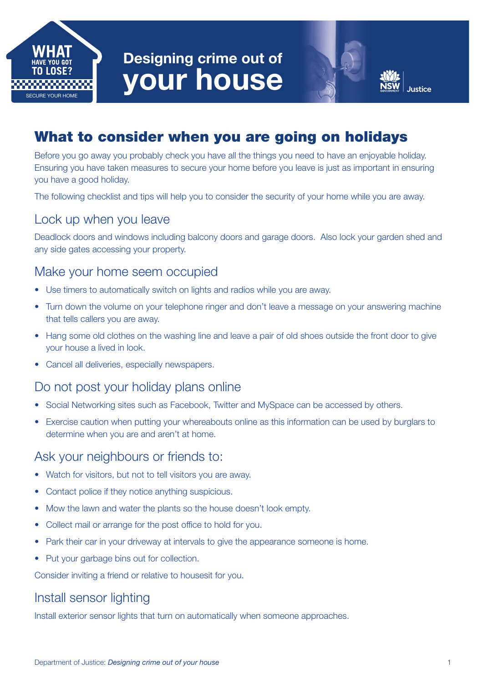

# Designing crime out of your house

# What to consider when you are going on holidays

Before you go away you probably check you have all the things you need to have an enjoyable holiday. Ensuring you have taken measures to secure your home before you leave is just as important in ensuring you have a good holiday.

The following checklist and tips will help you to consider the security of your home while you are away.

#### Lock up when you leave

Deadlock doors and windows including balcony doors and garage doors. Also lock your garden shed and any side gates accessing your property.

# Make your home seem occupied

- Use timers to automatically switch on lights and radios while you are away.
- Turn down the volume on your telephone ringer and don't leave a message on your answering machine that tells callers you are away.
- Hang some old clothes on the washing line and leave a pair of old shoes outside the front door to give your house a lived in look.
- Cancel all deliveries, especially newspapers.

## Do not post your holiday plans online

- Social Networking sites such as Facebook, Twitter and MySpace can be accessed by others.
- Exercise caution when putting your whereabouts online as this information can be used by burglars to determine when you are and aren't at home.

#### Ask your neighbours or friends to:

- Watch for visitors, but not to tell visitors you are away.
- Contact police if they notice anything suspicious.
- Mow the lawn and water the plants so the house doesn't look empty.
- Collect mail or arrange for the post office to hold for you.
- Park their car in your driveway at intervals to give the appearance someone is home.
- Put your garbage bins out for collection.

Consider inviting a friend or relative to housesit for you.

# Install sensor lighting

Install exterior sensor lights that turn on automatically when someone approaches.